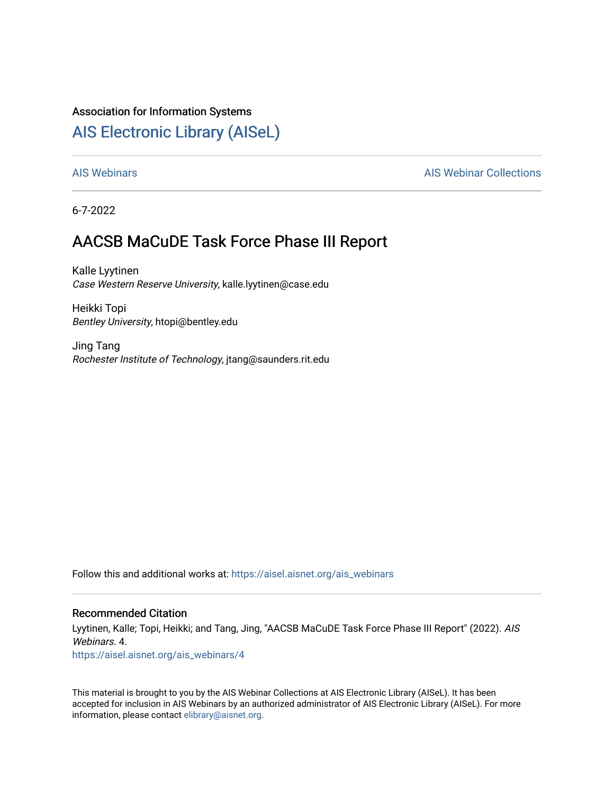#### Association for Information Systems

#### [AIS Electronic Library \(AISeL\)](https://aisel.aisnet.org/)

#### [AIS Webinars](https://aisel.aisnet.org/ais_webinars) **AIS Webinars** AIS Webinar Collections

6-7-2022

#### AACSB MaCuDE Task Force Phase III Report

Kalle Lyytinen Case Western Reserve University, kalle.lyytinen@case.edu

Heikki Topi Bentley University, htopi@bentley.edu

Jing Tang Rochester Institute of Technology, jtang@saunders.rit.edu

Follow this and additional works at: [https://aisel.aisnet.org/ais\\_webinars](https://aisel.aisnet.org/ais_webinars?utm_source=aisel.aisnet.org%2Fais_webinars%2F4&utm_medium=PDF&utm_campaign=PDFCoverPages) 

#### Recommended Citation

Lyytinen, Kalle; Topi, Heikki; and Tang, Jing, "AACSB MaCuDE Task Force Phase III Report" (2022). AIS Webinars. 4.

[https://aisel.aisnet.org/ais\\_webinars/4](https://aisel.aisnet.org/ais_webinars/4?utm_source=aisel.aisnet.org%2Fais_webinars%2F4&utm_medium=PDF&utm_campaign=PDFCoverPages) 

This material is brought to you by the AIS Webinar Collections at AIS Electronic Library (AISeL). It has been accepted for inclusion in AIS Webinars by an authorized administrator of AIS Electronic Library (AISeL). For more information, please contact [elibrary@aisnet.org.](mailto:elibrary@aisnet.org%3E)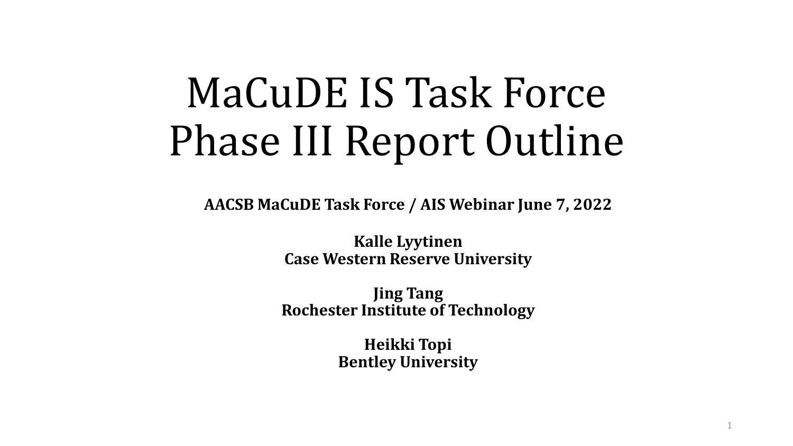# MaCuDE IS Task Force Phase III Report Outline

**AACSB MaCuDE Task Force / AIS Webinar June 7, 2022**

**Kalle Lyytinen Case Western Reserve University**

**Jing Tang Rochester Institute of Technology**

> **Heikki Topi Bentley University**

> > 1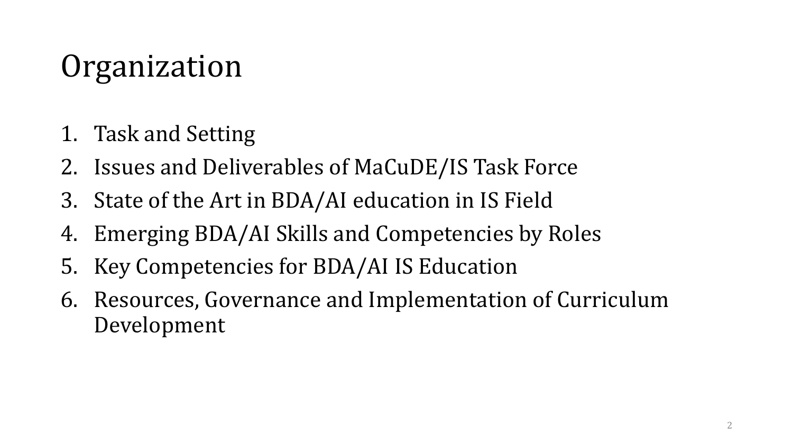## Organization

- 1. Task and Setting
- 2. Issues and Deliverables of MaCuDE/IS Task Force
- 3. State of the Art in BDA/AI education in IS Field
- 4. Emerging BDA/AI Skills and Competencies by Roles
- 5. Key Competencies for BDA/AI IS Education
- 6. Resources, Governance and Implementation of Curriculum Development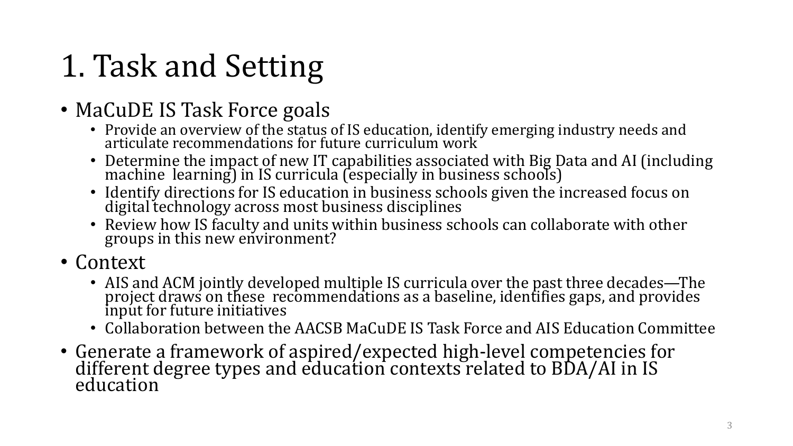## 1. Task and Setting

#### • MaCuDE IS Task Force goals

- Provide an overview of the status of IS education, identify emerging industry needs and articulate recommendations for future curriculum work
- Determine the impact of new IT capabilities associated with Big Data and AI (including machine learning) in IS curricula (especially in business schools)
- Identify directions for IS education in business schools given the increased focus on digital technology across most business disciplines
- Review how IS faculty and units within business schools can collaborate with other groups in this new environment?
- Context
	- AIS and ACM jointly developed multiple IS curricula over the past three decades—The project draws on these recommendations as a baseline, identifies gaps, and provides input for future initiatives
	- Collaboration between the AACSB MaCuDE IS Task Force and AIS Education Committee
- Generate a framework of aspired/expected high-level competencies for different degree types and education contexts related to BDA/AI in IS education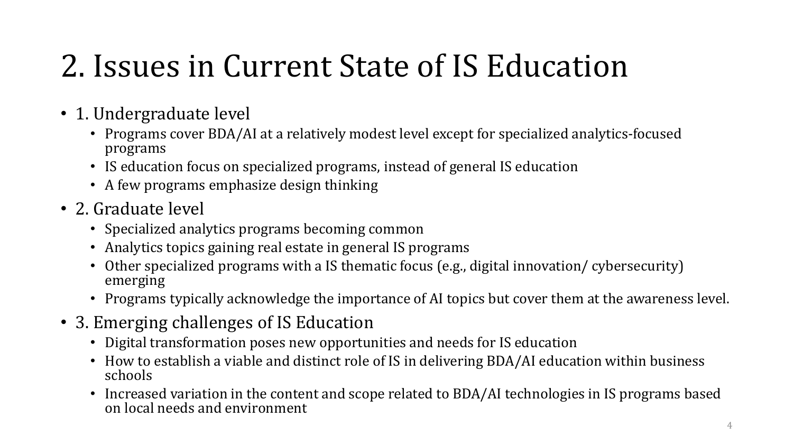### 2. Issues in Current State of IS Education

- 1. Undergraduate level
	- Programs cover BDA/AI at a relatively modest level except for specialized analytics-focused programs
	- IS education focus on specialized programs, instead of general IS education
	- A few programs emphasize design thinking
- 2. Graduate level
	- Specialized analytics programs becoming common
	- Analytics topics gaining real estate in general IS programs
	- Other specialized programs with a IS thematic focus (e.g., digital innovation/ cybersecurity) emerging
	- Programs typically acknowledge the importance of AI topics but cover them at the awareness level.
- 3. Emerging challenges of IS Education
	- Digital transformation poses new opportunities and needs for IS education
	- How to establish a viable and distinct role of IS in delivering BDA/AI education within business schools
	- Increased variation in the content and scope related to BDA/AI technologies in IS programs based on local needs and environment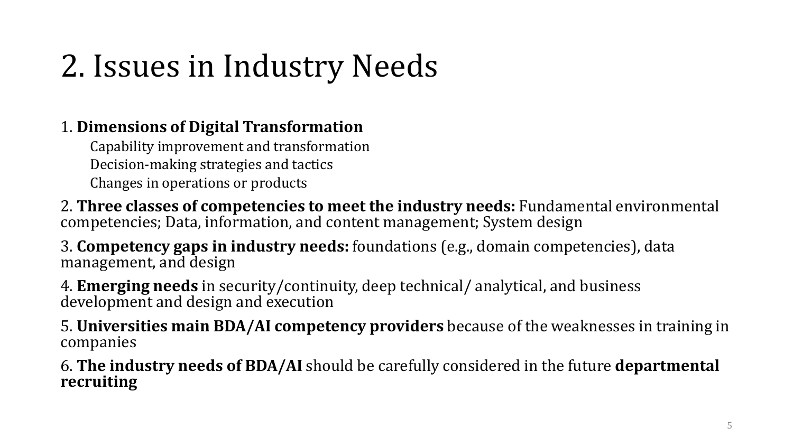## 2. Issues in Industry Needs

#### 1. **Dimensions of Digital Transformation**

Capability improvement and transformation Decision-making strategies and tactics Changes in operations or products

2. **Three classes of competencies to meet the industry needs:** Fundamental environmental competencies; Data, information, and content management; System design

3. **Competency gaps in industry needs:** foundations (e.g., domain competencies), data management, and design

4. **Emerging needs** in security/continuity, deep technical/ analytical, and business development and design and execution

5. **Universities main BDA/AI competency providers** because of the weaknesses in training in companies

6. **The industry needs of BDA/AI** should be carefully considered in the future **departmental recruiting**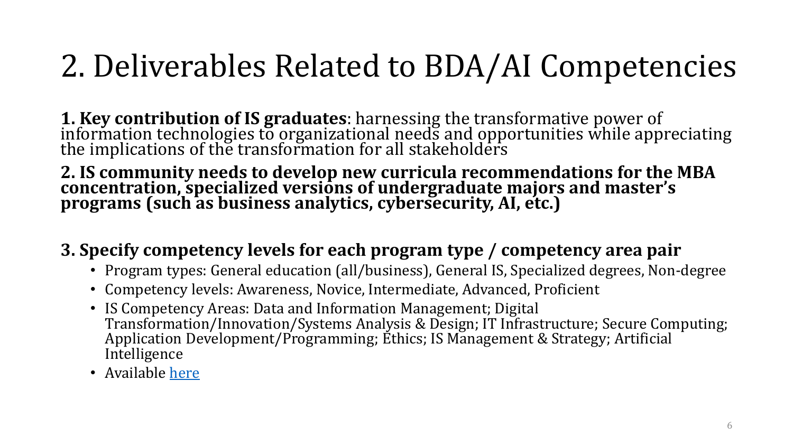### <span id="page-6-0"></span>2. Deliverables Related to BDA/AI Competencies

**1. Key contribution of IS graduates**: harnessing the transformative power of<br>information technologies to organizational needs and opportunities while appreciating<br>the implications of the two oformation for all stakeholdar the implications of the transformation for all stakeholders

**2. IS community needs to develop new curricula recommendations for the MBA concentration, specialized versions of undergraduate majors and master's programs (such as business analytics, cybersecurity, AI, etc.)**

#### **3. Specify competency levels for each program type / competency area pair**

- Program types: General education (all/business), General IS, Specialized degrees, Non-degree
- Competency levels: Awareness, Novice, Intermediate, Advanced, Proficient
- IS Competency Areas: Data and Information Management; Digital Transformation/Innovation/Systems Analysis & Design; IT Infrastructure; Secure Computing; Application Development/Programming; Ethics; IS Management & Strategy; Artificial Intelligence
- Available [here](#page-19-0)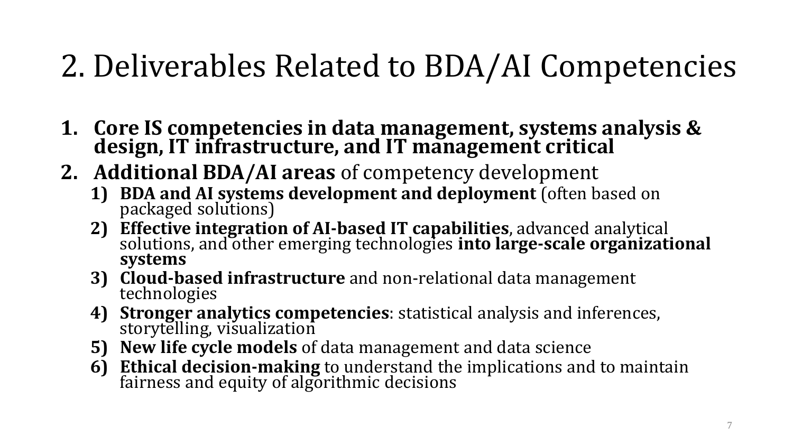### 2. Deliverables Related to BDA/AI Competencies

- **1. Core IS competencies in data management, systems analysis & design, IT infrastructure, and IT management critical**
- **2. Additional BDA/AI areas** of competency development
	- **1) BDA and AI systems development and deployment** (often based on packaged solutions)
	- **2) Effective integration of AI-based IT capabilities**, advanced analytical solutions, and other emerging technologies **into large-scale organizational systems**
	- **3) Cloud-based infrastructure** and non-relational data management technologies
	- **4) Stronger analytics competencies**: statistical analysis and inferences, storytelling, visualization
	- **5) New life cycle models** of data management and data science
	- **6) Ethical decision-making** to understand the implications and to maintain fairness and equity of algorithmic decisions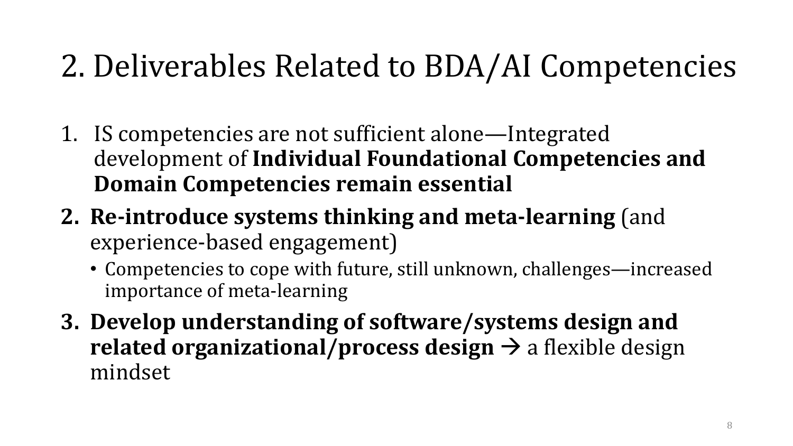### 2. Deliverables Related to BDA/AI Competencies

- 1. IS competencies are not sufficient alone—Integrated development of **Individual Foundational Competencies and Domain Competencies remain essential**
- **2. Re-introduce systems thinking and meta-learning** (and experience-based engagement)
	- Competencies to cope with future, still unknown, challenges—increased importance of meta-learning
- **3. Develop understanding of software/systems design and related organizational/process design**  $\rightarrow$  a flexible design mindset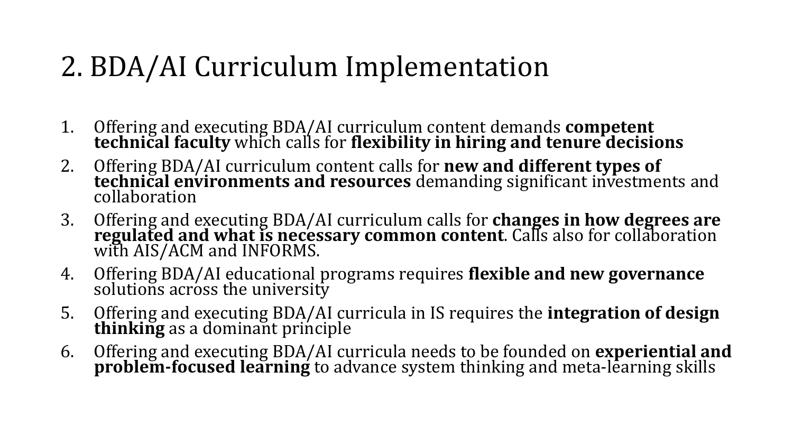#### 2. BDA/AI Curriculum Implementation

- 1. Offering and executing BDA/AI curriculum content demands **competent technical faculty** which calls for **flexibility in hiring and tenure decisions**
- 2. Offering BDA/AI curriculum content calls for **new and different types of technical environments and resources** demanding significant investments and collaboration
- 3. Offering and executing BDA/AI curriculum calls for **changes in how degrees are regulated and what is necessary common content**. Calls also for collaboration with AIS/ACM and INFORMS.
- 4. Offering BDA/AI educational programs requires **flexible and new governance** solutions across the university
- 5. Offering and executing BDA/AI curricula in IS requires the **integration of design thinking** as a dominant principle
- 6. Offering and executing BDA/AI curricula needs to be founded on **experiential and problem-focused learning** to advance system thinking and meta-learning skills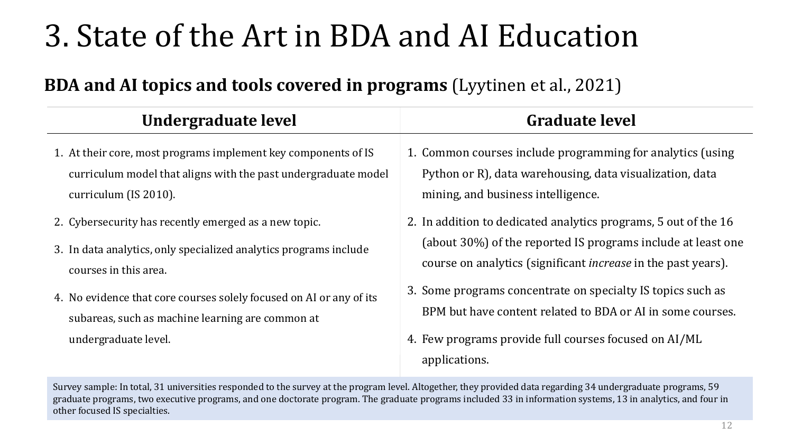### 3. State of the Art in BDA and AI Education

#### **BDA and AI topics and tools covered in programs** (Lyytinen et al., 2021)

| <b>Undergraduate level</b>                                                                                                                                                                                                                                                                                                                                                              | <b>Graduate level</b>                                                                                                                                                                                                                                                                                                                                                                                                                  |  |  |  |
|-----------------------------------------------------------------------------------------------------------------------------------------------------------------------------------------------------------------------------------------------------------------------------------------------------------------------------------------------------------------------------------------|----------------------------------------------------------------------------------------------------------------------------------------------------------------------------------------------------------------------------------------------------------------------------------------------------------------------------------------------------------------------------------------------------------------------------------------|--|--|--|
| 1. At their core, most programs implement key components of IS<br>curriculum model that aligns with the past undergraduate model<br>curriculum (IS 2010).<br>2. Cybersecurity has recently emerged as a new topic.<br>3. In data analytics, only specialized analytics programs include<br>courses in this area.<br>4. No evidence that core courses solely focused on AI or any of its | 1. Common courses include programming for analytics (using<br>Python or R), data warehousing, data visualization, data<br>mining, and business intelligence.<br>2. In addition to dedicated analytics programs, 5 out of the 16<br>(about 30%) of the reported IS programs include at least one<br>course on analytics (significant <i>increase</i> in the past years).<br>3. Some programs concentrate on specialty IS topics such as |  |  |  |
| subareas, such as machine learning are common at<br>undergraduate level.                                                                                                                                                                                                                                                                                                                | BPM but have content related to BDA or AI in some courses.<br>4. Few programs provide full courses focused on AI/ML<br>applications.                                                                                                                                                                                                                                                                                                   |  |  |  |
| Survey sample: In total, 31 universities responded to the survey at the program level. Altogether, they provided data regarding 34 undergraduate programs, 59                                                                                                                                                                                                                           |                                                                                                                                                                                                                                                                                                                                                                                                                                        |  |  |  |

graduate programs, two executive programs, and one doctorate program. The graduate programs included 33 in information systems, 13 in analytics, and four in other focused IS specialties.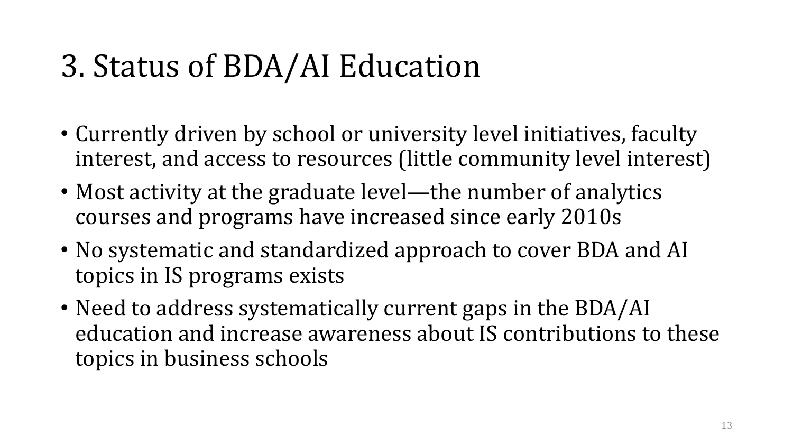### 3. Status of BDA/AI Education

- Currently driven by school or university level initiatives, faculty interest, and access to resources (little community level interest)
- Most activity at the graduate level—the number of analytics courses and programs have increased since early 2010s
- No systematic and standardized approach to cover BDA and AI topics in IS programs exists
- Need to address systematically current gaps in the BDA/AI education and increase awareness about IS contributions to these topics in business schools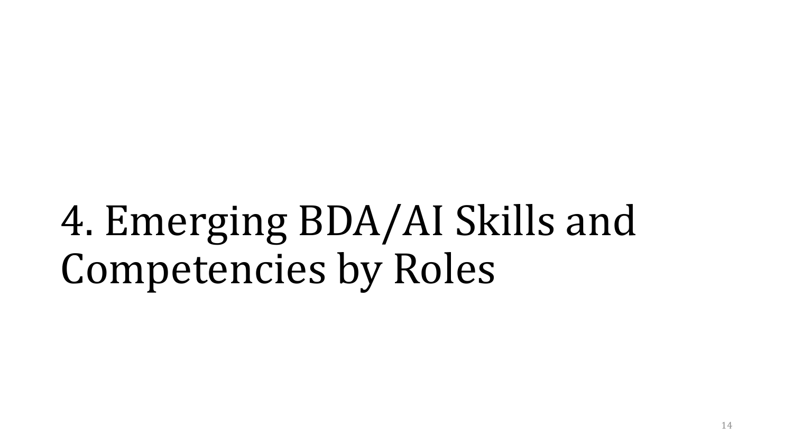4. Emerging BDA/AI Skills and Competencies by Roles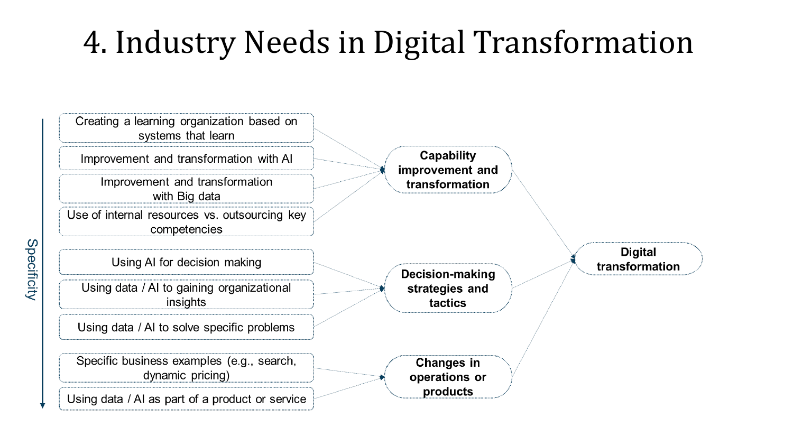### 4. Industry Needs in Digital Transformation

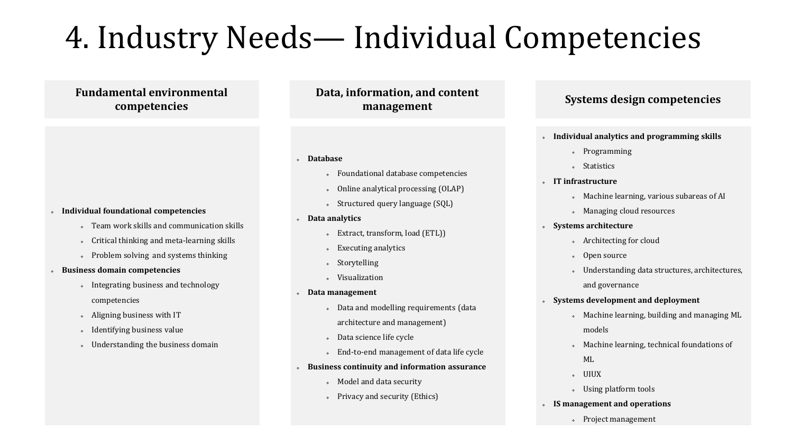### 4. Industry Needs— Individual Competencies

**Fundamental environmental competencies**

- **Individual foundational competencies**
	- Team work skills and communication skills
	- Critical thinking and meta-learning skills
	- Problem solving and systems thinking
- **Business domain competencies**
	- Integrating business and technology competencies
	- Aligning business with IT
	- Identifying business value
	- Understanding the business domain

**Data, information, and content management**

- **Database**
	- Foundational database competencies
	- Online analytical processing (OLAP)
	- Structured query language (SQL)
- **Data analytics**
	- Extract, transform, load (ETL))
	- Executing analytics
	- Storytelling
	- Visualization
- **Data management**
	- Data and modelling requirements (data architecture and management)
	- Data science life cycle
	- End-to-end management of data life cycle
- **Business continuity and information assurance**
	- Model and data security
	- Privacy and security (Ethics)

#### **Systems design competencies**

- **Individual analytics and programming skills**
	- Programming
	- Statistics
- **IT infrastructure**
	- Machine learning, various subareas of AI
	- Managing cloud resources
- **Systems architecture**
	- Architecting for cloud
	- Open source
	- Understanding data structures, architectures, and governance
- **Systems development and deployment**
	- Machine learning, building and managing ML models
	- Machine learning, technical foundations of ML
	- UIUX
	- Using platform tools
- **IS management and operations**
	- Project management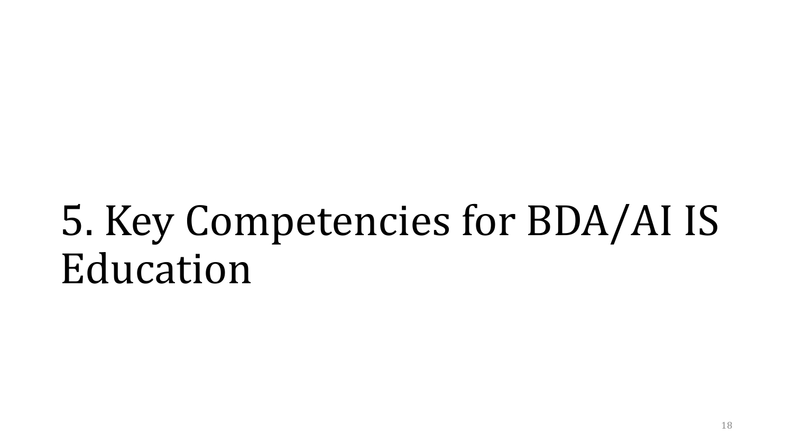# 5. Key Competencies for BDA/AI IS Education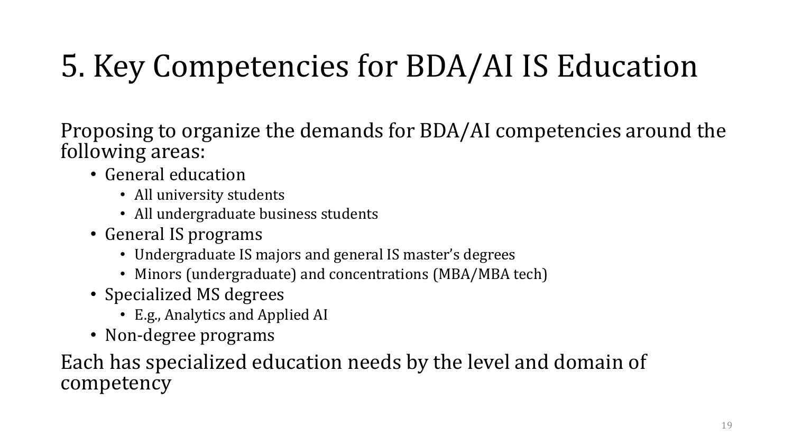## 5. Key Competencies for BDA/AI IS Education

Proposing to organize the demands for BDA/AI competencies around the following areas:

- General education
	- All university students
	- All undergraduate business students
- General IS programs
	- Undergraduate IS majors and general IS master's degrees
	- Minors (undergraduate) and concentrations (MBA/MBA tech)
- Specialized MS degrees
	- E.g., Analytics and Applied AI
- Non-degree programs

Each has specialized education needs by the level and domain of competency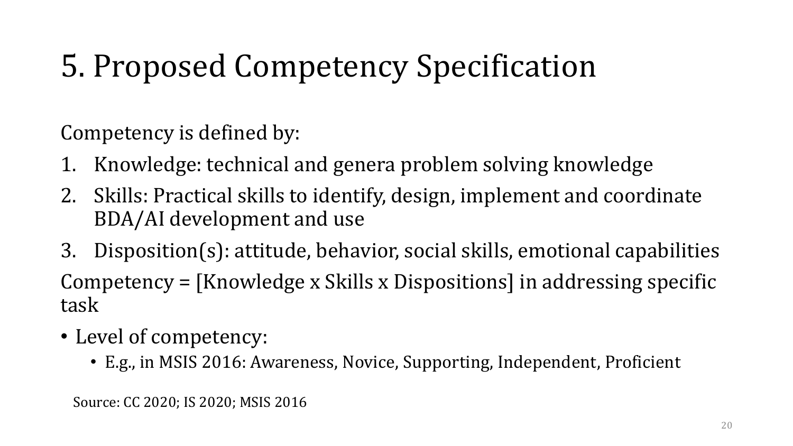## 5. Proposed Competency Specification

Competency is defined by:

- 1. Knowledge: technical and genera problem solving knowledge
- 2. Skills: Practical skills to identify, design, implement and coordinate BDA/AI development and use
- 3. Disposition(s): attitude, behavior, social skills, emotional capabilities Competency = [Knowledge x Skills x Dispositions] in addressing specific task
- Level of competency:
	- E.g., in MSIS 2016: Awareness, Novice, Supporting, Independent, Proficient

Source: CC 2020; IS 2020; MSIS 2016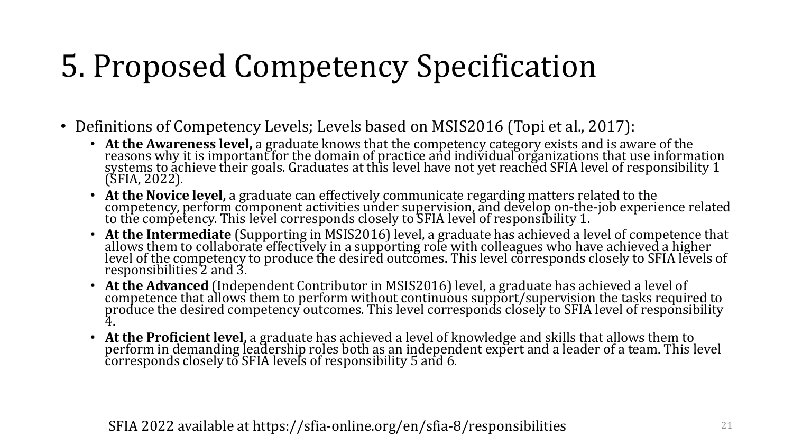## 5. Proposed Competency Specification

- Definitions of Competency Levels; Levels based on MSIS2016 (Topi et al., 2017):
	- **At the Awareness level,** a graduate knows that the competency category exists and is aware of the reasons why it is important for the domain of practice and individual organizations that use information gradients that u systems to achieve their goals. Graduates at this level have not yet reached SFIA level of responsibility 1<br>(SFIA, 2022) (SFIA, 2022).
	- At the Novice level, a graduate can effectively communicate regarding matters related to the competency, perform component activities under supervision, and develop on-the-job experience related to the competency. This l
	- **At the Intermediate** (Supporting in MSIS2016) level, a graduate has achieved a level of competence that allows them to collaborate effectively in a supporting role with colleagues who have achieved a higher level a figh level of the competency to produce the desired outcomes. This level corresponds closely to SFIA levels of responsibilities 2 and 3.
	- **At the Advanced** (Independent Contributor in MSIS2016) level, a graduate has achieved a level of competence that allows them to perform without continuous support/supervision the tasks required to mechanical the desired produce the desired competency outcomes. This level corresponds closely to SFIA level of responsibility 4.
	- **At the Proficient level,** a graduate has achieved a level of knowledge and skills that allows them to perform in demanding leadership roles both as an independent expert and a leader of a team. This level corresponds closely to SFIA levels of responsibility 5 and 6.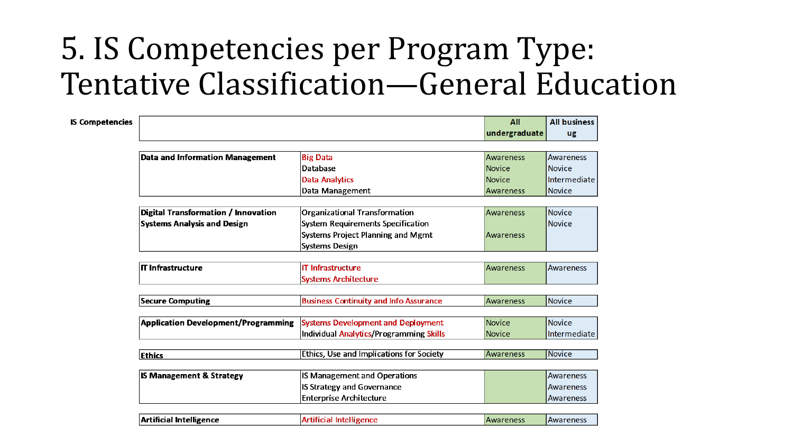### <span id="page-19-0"></span>5. IS Competencies per Program Type: Tentative Classification—General Education

| <b>IS Competencies</b> |                                            |                                                 | All           | <b>All business</b> |  |  |
|------------------------|--------------------------------------------|-------------------------------------------------|---------------|---------------------|--|--|
|                        |                                            |                                                 | undergraduate | ug                  |  |  |
|                        |                                            |                                                 |               |                     |  |  |
|                        | <b>Data and Information Management</b>     | <b>Big Data</b>                                 | Awareness     | Awareness           |  |  |
|                        |                                            | <b>Database</b>                                 | Novice        | Novice              |  |  |
|                        |                                            | <b>Data Analytics</b>                           | Novice        | Intermediate        |  |  |
|                        |                                            | Data Management                                 | Awareness     | Novice              |  |  |
|                        |                                            |                                                 |               |                     |  |  |
|                        | Digital Transformation / Innovation        | <b>Organizational Transformation</b>            | Awareness     | Novice              |  |  |
|                        | <b>Systems Analysis and Design</b>         | <b>System Requirements Specification</b>        |               | l Novice            |  |  |
|                        |                                            | <b>Systems Project Planning and Mgmt</b>        | Awareness     |                     |  |  |
|                        |                                            | <b>Systems Design</b>                           |               |                     |  |  |
|                        | $\boldsymbol{\mathsf{I}}$ T Infrastructure | <b>IT Infrastructure</b>                        | Awareness     | Awareness           |  |  |
|                        |                                            | <b>Systems Architecture</b>                     |               |                     |  |  |
|                        |                                            |                                                 |               |                     |  |  |
|                        | <b>Secure Computing</b>                    | <b>Business Continuity and Info Assurance</b>   | Awareness     | Novice              |  |  |
|                        | <b>Application Development/Programming</b> | <b>Systems Development and Deployment</b>       | Novice        | Novice              |  |  |
|                        |                                            | Individual Analytics/Programming Skills         | Novice        | Intermediate        |  |  |
|                        |                                            |                                                 |               |                     |  |  |
|                        | <b>Ethics</b>                              | <b>Ethics, Use and Implications for Society</b> | Awareness     | Novice              |  |  |
|                        | <b>IS Management &amp; Strategy</b>        | <b>IS Management and Operations</b>             |               | Awareness           |  |  |
|                        |                                            |                                                 |               |                     |  |  |
|                        |                                            | <b>IS Strategy and Governance</b>               |               | <b>Awareness</b>    |  |  |
|                        |                                            | <b>Enterprise Architecture</b>                  |               | Awareness           |  |  |
|                        | Artificial Intelligence                    | Artificial Intelligence                         | Awareness     | <b>Awareness</b>    |  |  |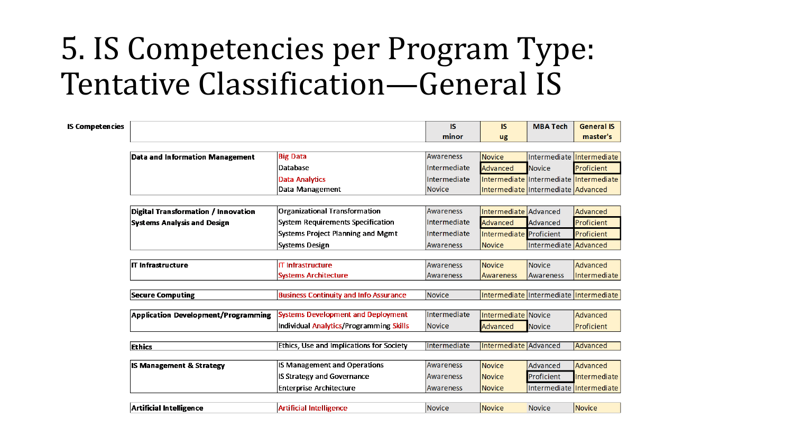#### 5. IS Competencies per Program Type: Tentative Classification—General IS

| <b>IS Competencies</b> |                                            |                                               | <b>IS</b>        | IS.                                | <b>MBA Tech</b>       | <b>General IS</b>                      |
|------------------------|--------------------------------------------|-----------------------------------------------|------------------|------------------------------------|-----------------------|----------------------------------------|
|                        |                                            |                                               | minor            | ug                                 |                       | master's                               |
|                        |                                            |                                               |                  |                                    |                       |                                        |
|                        | <b>Data and Information Management</b>     | <b>Big Data</b>                               | <b>Awareness</b> | Novice                             |                       | Intermediate Intermediate              |
|                        |                                            | Database                                      | Intermediate     | Advanced                           | <b>Novice</b>         | Proficient                             |
|                        |                                            | Data Analytics                                | Intermediate     |                                    |                       | Intermediate Intermediate Intermediate |
|                        |                                            | Data Management                               | <b>Novice</b>    | Intermediate Intermediate Advanced |                       |                                        |
|                        |                                            |                                               |                  |                                    |                       |                                        |
|                        | Digital Transformation / Innovation        | <b>Organizational Transformation</b>          | <b>Awareness</b> | Intermediate Advanced              |                       | Advanced                               |
|                        | <b>Systems Analysis and Design</b>         | <b>System Requirements Specification</b>      | Intermediate     | Advanced                           | <b>Advanced</b>       | Proficient                             |
|                        |                                            | <b>Systems Project Planning and Mgmt</b>      | Intermediate     | Intermediate Proficient            |                       | Proficient                             |
|                        |                                            | <b>Systems Design</b>                         | Awareness        | <b>Novice</b>                      | Intermediate Advanced |                                        |
|                        |                                            |                                               |                  |                                    |                       |                                        |
|                        | <b>IT Infrastructure</b>                   | <b>T</b> Infrastructure                       | <b>Awareness</b> | Novice                             | <b>Novice</b>         | <b>Advanced</b>                        |
|                        |                                            | <b>Systems Architecture</b>                   | <b>Awareness</b> | <b>Awareness</b>                   | Awareness             | Intermediate                           |
|                        |                                            |                                               | <b>Novice</b>    |                                    |                       |                                        |
|                        | <b>Secure Computing</b>                    | <b>Business Continuity and Info Assurance</b> |                  |                                    |                       | Intermediate Intermediate Intermediate |
|                        | <b>Application Development/Programming</b> | <b>Systems Development and Deployment</b>     | Intermediate     | Intermediate   Novice              |                       | <b>Advanced</b>                        |
|                        |                                            | Individual Analytics/Programming Skills       | <b>Novice</b>    | <b>Advanced</b>                    | <b>Novice</b>         | Proficient                             |
|                        |                                            |                                               |                  |                                    |                       |                                        |
|                        | <b>Ethics</b>                              | Ethics, Use and Implications for Society      | Intermediate     | Intermediate Advanced              |                       | Advanced                               |
|                        |                                            |                                               |                  |                                    |                       |                                        |
|                        | <b>IS Management &amp; Strategy</b>        | <b>IS Management and Operations</b>           | <b>Awareness</b> | Novice                             | Advanced              | <b>Advanced</b>                        |
|                        |                                            | IS Strategy and Governance                    | <b>Awareness</b> | Novice                             | Proficient            | Intermediate                           |
|                        |                                            | <b>Enterprise Architecture</b>                | Awareness        | <b>Novice</b>                      |                       | Intermediate Intermediate              |
|                        |                                            |                                               |                  |                                    |                       |                                        |
|                        | Artificial Intelligence                    | <b>Artificial Intelligence</b>                | <b>Novice</b>    | <b>Novice</b>                      | <b>Novice</b>         | Novice                                 |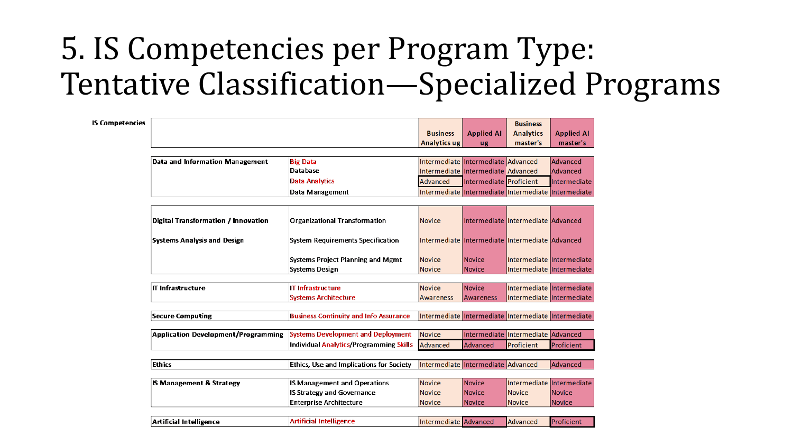### 5. IS Competencies per Program Type: Tentative Classification—Specialized Programs

| <b>IS Competencies</b> |                                            |                                                                          |                                                     |                                    | <b>Business</b>                                     |                               |  |
|------------------------|--------------------------------------------|--------------------------------------------------------------------------|-----------------------------------------------------|------------------------------------|-----------------------------------------------------|-------------------------------|--|
|                        |                                            |                                                                          | <b>Business</b><br><b>Analytics ug</b>              | <b>Applied AI</b>                  | <b>Analytics</b><br>master's                        | <b>Applied AI</b><br>master's |  |
|                        |                                            |                                                                          |                                                     | ug                                 |                                                     |                               |  |
|                        | Data and Information Management            | <b>Big Data</b>                                                          |                                                     | Intermediate Intermediate Advanced |                                                     | Advanced                      |  |
|                        |                                            | Database                                                                 |                                                     | Intermediate Intermediate Advanced |                                                     | Advanced                      |  |
|                        |                                            | <b>Data Analytics</b>                                                    | Advanced                                            | Intermediate Proficient            |                                                     | Intermediate                  |  |
|                        |                                            | Data Management                                                          |                                                     |                                    | Intermediate Intermediate Intermediate Intermediate |                               |  |
|                        |                                            |                                                                          |                                                     |                                    |                                                     |                               |  |
|                        |                                            |                                                                          |                                                     |                                    |                                                     |                               |  |
|                        | <b>Digital Transformation / Innovation</b> | <b>Organizational Transformation</b>                                     | <b>Novice</b>                                       |                                    | Intermediate Intermediate   Advanced                |                               |  |
|                        | Systems Analysis and Design                | <b>System Requirements Specification</b>                                 |                                                     |                                    | Intermediate Intermediate Intermediate Advanced     |                               |  |
|                        |                                            |                                                                          |                                                     |                                    |                                                     |                               |  |
|                        |                                            | <b>Systems Project Planning and Mgmt</b>                                 | <b>Novice</b>                                       | <b>Novice</b>                      | Intermediate Intermediate                           |                               |  |
|                        |                                            | <b>Systems Design</b>                                                    | <b>Novice</b>                                       | Novice                             | Intermediate Intermediate                           |                               |  |
|                        |                                            |                                                                          |                                                     |                                    |                                                     |                               |  |
|                        | <b>IT Infrastructure</b>                   | <b>IT Infrastructure</b>                                                 | <b>Novice</b>                                       | Novice                             | Intermediate Intermediate                           |                               |  |
|                        |                                            | <b>Systems Architecture</b>                                              | <b>Awareness</b>                                    | Awareness                          | Intermediate Intermediate                           |                               |  |
|                        | <b>Secure Computing</b>                    | <b>Business Continuity and Info Assurance</b>                            | Intermediate Intermediate Intermediate Intermediate |                                    |                                                     |                               |  |
|                        |                                            |                                                                          |                                                     |                                    |                                                     |                               |  |
|                        | <b>Application Development/Programming</b> | <b>Systems Development and Deployment</b>                                | <b>Novice</b>                                       |                                    | Intermediate Intermediate Advanced                  |                               |  |
|                        |                                            | <b>Individual Analytics/Programming Skills</b>                           | Advanced                                            | Advanced                           | Proficient                                          | Proficient                    |  |
|                        |                                            |                                                                          |                                                     |                                    |                                                     |                               |  |
|                        | Ethics                                     | <b>Ethics, Use and Implications for Society</b>                          | Intermediate Intermediate Advanced                  |                                    |                                                     | Advanced                      |  |
|                        |                                            |                                                                          |                                                     |                                    |                                                     |                               |  |
|                        | <b>IS Management &amp; Strategy</b>        | <b>IS Management and Operations</b><br><b>IS Strategy and Governance</b> | <b>Novice</b><br><b>Novice</b>                      | Novice<br>Novice                   | Intermediate Intermediate<br><b>Novice</b>          | <b>Novice</b>                 |  |
|                        |                                            | <b>Enterprise Architecture</b>                                           | <b>Novice</b>                                       | Novice                             | <b>Novice</b>                                       | <b>Novice</b>                 |  |
|                        |                                            |                                                                          |                                                     |                                    |                                                     |                               |  |
|                        | Artificial Intelligence                    | <b>Artificial Intelligence</b>                                           | Intermediate Advanced                               |                                    | Advanced                                            | Proficient                    |  |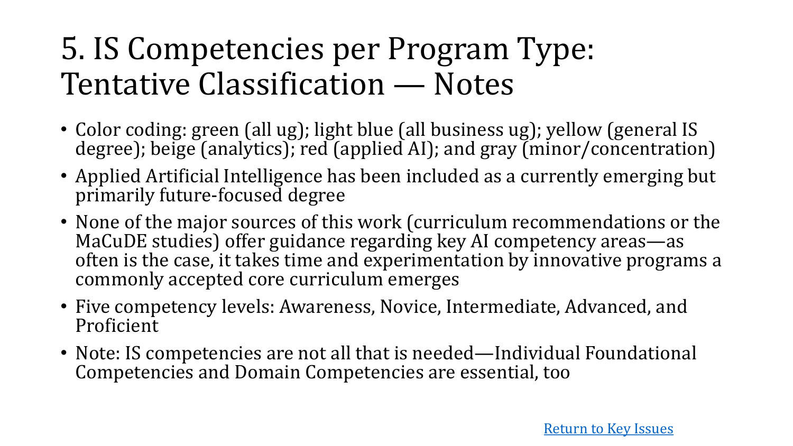#### 5. IS Competencies per Program Type: Tentative Classification — Notes

- Color coding: green (all ug); light blue (all business ug); yellow (general IS degree); beige (analytics); red (applied AI); and gray (minor/concentration)
- Applied Artificial Intelligence has been included as a currently emerging but primarily future-focused degree
- None of the major sources of this work (curriculum recommendations or the MaCuDE studies) offer guidance regarding key AI competency areas—as often is the case, it takes time and experimentation by innovative programs a commonly accepted core curriculum emerges
- Five competency levels: Awareness, Novice, Intermediate, Advanced, and Proficient
- Note: IS competencies are not all that is needed—Individual Foundational Competencies and Domain Competencies are essential, too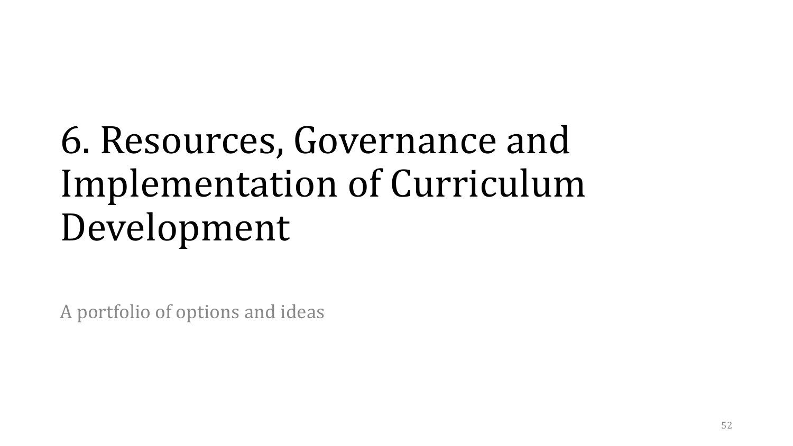# 6. Resources, Governance and Implementation of Curriculum Development

A portfolio of options and ideas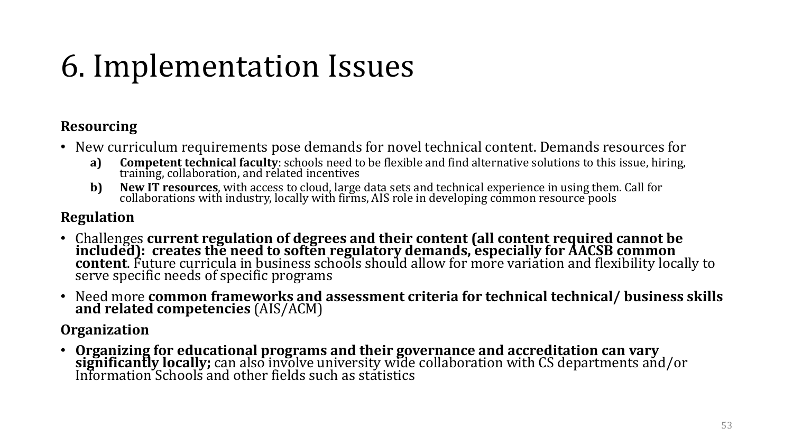## 6. Implementation Issues

#### **Resourcing**

- New curriculum requirements pose demands for novel technical content. Demands resources for<br>a) **Competent technical faculty**: schools need to be flexible and find alternative solutions to this issue, hiring,
	- **Competent technical faculty**: schools need to be flexible and find alternative solutions to this issue, hiring, training, collaboration, and related incentives
	- **b)** New IT resources, with access to cloud, large data sets and technical experience in using them. Call for collaborations with industry, locally with firms, AIS role in developing common resource pools

#### **Regulation**

- Challenges **current regulation of degrees and their content (all content required cannot be included): creates the need to soften regulatory demands, especially for AACSB common content**. Future curricula in business schools should allow for more variation and flexibility locally to<br>serve specific needs of specific programs
- Need more **common frameworks and assessment criteria for technical technical/ business skills and related competencies** (AIS/ACM)

**Organization**

• **Organizing for educational programs and their governance and accreditation can vary significantly locally;** can also involve university wide collaboration with CS departments and/or<br>Information Schools and other fields such as statistics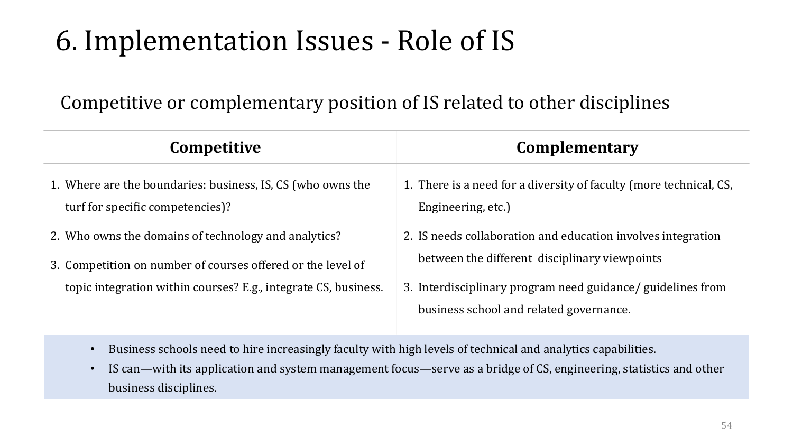#### 6. Implementation Issues - Role of IS

#### Competitive or complementary position of IS related to other disciplines

| <b>Competitive</b>                                                                                                                                                                     | Complementary                                                                                                                                                                                                           |
|----------------------------------------------------------------------------------------------------------------------------------------------------------------------------------------|-------------------------------------------------------------------------------------------------------------------------------------------------------------------------------------------------------------------------|
| 1. Where are the boundaries: business, IS, CS (who owns the<br>turf for specific competencies)?                                                                                        | 1. There is a need for a diversity of faculty (more technical, CS,<br>Engineering, etc.)                                                                                                                                |
| 2. Who owns the domains of technology and analytics?<br>3. Competition on number of courses offered or the level of<br>topic integration within courses? E.g., integrate CS, business. | 2. IS needs collaboration and education involves integration<br>between the different disciplinary viewpoints<br>3. Interdisciplinary program need guidance/ guidelines from<br>business school and related governance. |

- Business schools need to hire increasingly faculty with high levels of technical and analytics capabilities.
- IS can—with its application and system management focus—serve as a bridge of CS, engineering, statistics and other business disciplines.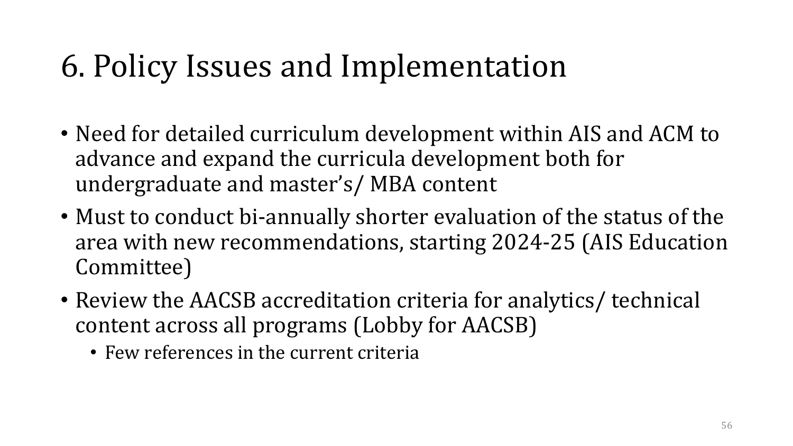### 6. Policy Issues and Implementation

- Need for detailed curriculum development within AIS and ACM to advance and expand the curricula development both for undergraduate and master's/ MBA content
- Must to conduct bi-annually shorter evaluation of the status of the area with new recommendations, starting 2024-25 (AIS Education Committee)
- Review the AACSB accreditation criteria for analytics/ technical content across all programs (Lobby for AACSB)
	- Few references in the current criteria